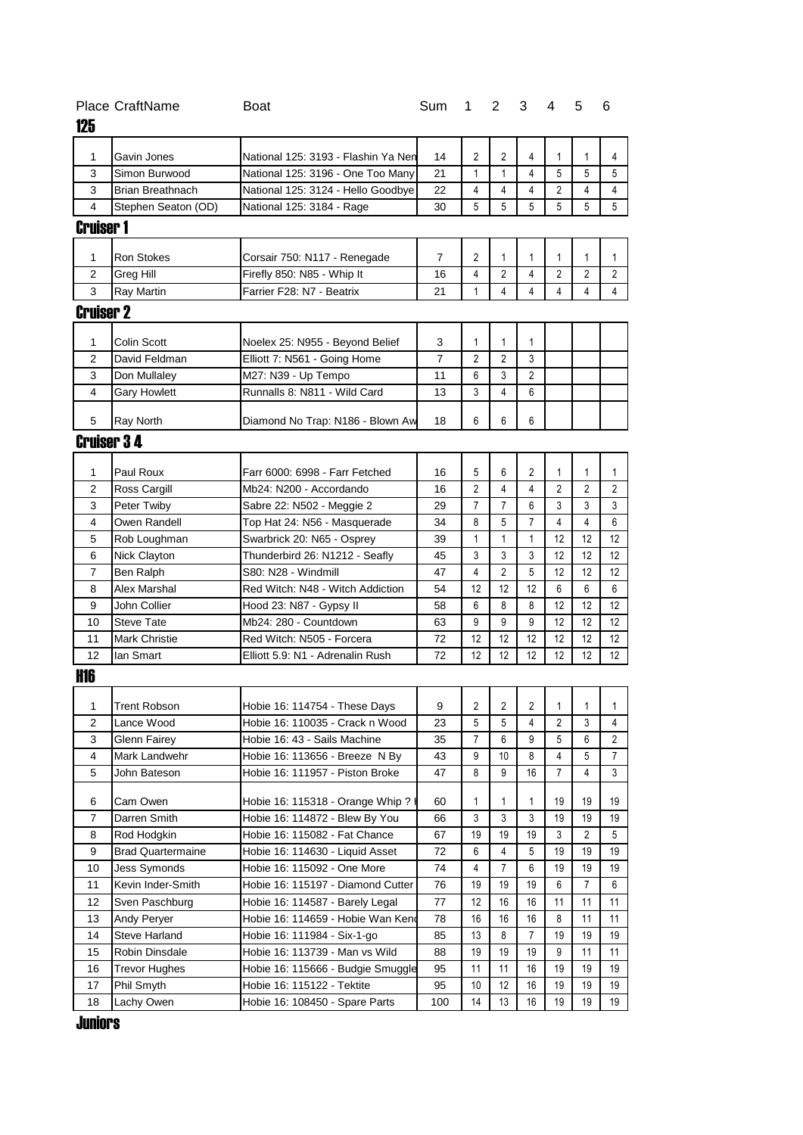| 125               | <b>Place CraftName</b>   | Boat                                                                     | Sum |    | $1\quad 2$ | 3  | 4  | 5            | 6                 |
|-------------------|--------------------------|--------------------------------------------------------------------------|-----|----|------------|----|----|--------------|-------------------|
| 1                 | Gavin Jones              |                                                                          | 14  | 2  | 2          | 4  | 1  | 1            | 4                 |
| 3                 | Simon Burwood            | National 125: 3193 - Flashin Ya Nen<br>National 125: 3196 - One Too Many | 21  | 1  | 1          | 4  | 5  | 5            | 5                 |
| 3                 | <b>Brian Breathnach</b>  | National 125: 3124 - Hello Goodbye                                       | 22  | 4  | 4          | 4  | 2  | 4            | 4                 |
| 4                 |                          |                                                                          | 30  | 5  | 5          | 5  | 5  | 5            | 5                 |
|                   | Stephen Seaton (OD)      | National 125: 3184 - Rage                                                |     |    |            |    |    |              |                   |
| <b>Cruiser 1</b>  |                          |                                                                          |     |    |            |    |    |              |                   |
| 1                 | <b>Ron Stokes</b>        | Corsair 750: N117 - Renegade                                             | 7   | 2  | 1          | 1  | 1  | 1            | 1                 |
| $\overline{2}$    | Greg Hill                | Firefly 850: N85 - Whip It                                               | 16  | 4  | 2          | 4  | 2  | 2            | 2                 |
| 3                 | Ray Martin               | Farrier F28: N7 - Beatrix                                                | 21  | 1  | 4          | 4  | 4  | 4            | 4                 |
| <b>Cruiser 2</b>  |                          |                                                                          |     |    |            |    |    |              |                   |
| 1                 | Colin Scott              | Noelex 25: N955 - Beyond Belief                                          | 3   | 1  | 1          | 1  |    |              |                   |
| 2                 | David Feldman            | Elliott 7: N561 - Going Home                                             | 7   | 2  | 2          | 3  |    |              |                   |
| 3                 | Don Mullalev             | M27: N39 - Up Tempo                                                      | 11  | 6  | 3          | 2  |    |              |                   |
| 4                 | <b>Gary Howlett</b>      | Runnalls 8: N811 - Wild Card                                             | 13  | 3  | 4          | 6  |    |              |                   |
| 5                 | Ray North                | Diamond No Trap: N186 - Blown Aw                                         | 18  | 6  | 6          | 6  |    |              |                   |
| <b>Cruiser 34</b> |                          |                                                                          |     |    |            |    |    |              |                   |
|                   |                          |                                                                          |     |    |            |    |    |              |                   |
| 1                 | Paul Roux                | Farr 6000: 6998 - Farr Fetched                                           | 16  | 5  | 6          | 2  | 1  | $\mathbf{1}$ | 1                 |
| 2                 | Ross Cargill             | Mb24: N200 - Accordando                                                  | 16  | 2  | 4          | 4  | 2  | 2            | $\overline{c}$    |
| 3                 | Peter Twiby              | Sabre 22: N502 - Meggie 2                                                | 29  | 7  | 7          | 6  | 3  | 3            | 3                 |
| 4                 | Owen Randell             | Top Hat 24: N56 - Masquerade                                             | 34  | 8  | 5          | 7  | 4  | 4            | 6                 |
| 5                 | Rob Loughman             | Swarbrick 20: N65 - Osprey                                               | 39  | 1  | 1          | 1  | 12 | 12           | 12                |
| 6                 | Nick Clayton             | Thunderbird 26: N1212 - Seafly                                           | 45  | 3  | 3          | 3  | 12 | 12           | 12                |
| 7                 | Ben Ralph                | S80: N28 - Windmill                                                      | 47  | 4  | 2          | 5  | 12 | 12           | 12                |
| 8                 | Alex Marshal             | Red Witch: N48 - Witch Addiction                                         | 54  | 12 | 12         | 12 | 6  | 6            | 6                 |
| 9                 | John Collier             | Hood 23: N87 - Gypsy II                                                  | 58  | 6  | 8          | 8  | 12 | 12           | 12                |
| 10                | <b>Steve Tate</b>        | Mb24: 280 - Countdown                                                    | 63  | 9  | 9          | 9  | 12 | 12           | $12 \overline{ }$ |
| 11                | <b>Mark Christie</b>     | Red Witch: N505 - Forcera                                                | 72  | 12 | 12         | 12 | 12 | 12           | 12                |
| 12                | lan Smart                | Elliott 5.9: N1 - Adrenalin Rush                                         | 72  | 12 | 12         | 12 | 12 | 12           | 12 <sup>°</sup>   |
| <b>H16</b>        |                          |                                                                          |     |    |            |    |    |              |                   |
| 1                 | Trent Robson             | Hobie 16: 114754 - These Days                                            | 9   | 2  | 2          | 2  | 1  | 1            | 1                 |
| 2                 | Lance Wood               | Hobie 16: 110035 - Crack n Wood                                          | 23  | 5  | 5          | 4  | 2  | 3            | 4                 |
| 3                 | <b>Glenn Fairey</b>      | Hobie 16: 43 - Sails Machine                                             | 35  | 7  | 6          | 9  | 5  | 6            | 2                 |
| 4                 | Mark Landwehr            | Hobie 16: 113656 - Breeze N By                                           | 43  | 9  | 10         | 8  | 4  | 5            | 7                 |
| 5                 | John Bateson             | Hobie 16: 111957 - Piston Broke                                          | 47  | 8  | 9          | 16 | 7  | 4            | 3                 |
| 6                 | Cam Owen                 | Hobie 16: 115318 - Orange Whip ? I                                       | 60  | 1  | 1          | 1  | 19 | 19           | 19                |
| 7                 | Darren Smith             | Hobie 16: 114872 - Blew By You                                           | 66  | 3  | 3          | 3  | 19 | 19           | 19                |
| 8                 | Rod Hodgkin              | Hobie 16: 115082 - Fat Chance                                            | 67  | 19 | 19         | 19 | 3  | 2            | 5                 |
| 9                 | <b>Brad Quartermaine</b> | Hobie 16: 114630 - Liquid Asset                                          | 72  | 6  | 4          | 5  | 19 | 19           | 19                |
| 10                | <b>Jess Symonds</b>      | Hobie 16: 115092 - One More                                              | 74  | 4  | 7          | 6  | 19 | 19           | 19                |
| 11                | Kevin Inder-Smith        | Hobie 16: 115197 - Diamond Cutter                                        | 76  | 19 | 19         | 19 | 6  | 7            | 6                 |
| 12                | Sven Paschburg           | Hobie 16: 114587 - Barely Legal                                          | 77  | 12 | 16         | 16 | 11 | 11           | 11                |
| 13                | Andy Peryer              | Hobie 16: 114659 - Hobie Wan Kend                                        | 78  | 16 | 16         | 16 | 8  | 11           | 11                |
| 14                | <b>Steve Harland</b>     | Hobie 16: 111984 - Six-1-go                                              | 85  | 13 | 8          | 7  | 19 | 19           | 19                |
| 15                | Robin Dinsdale           | Hobie 16: 113739 - Man vs Wild                                           | 88  | 19 | 19         | 19 | 9  | 11           | 11                |
| 16                | <b>Trevor Hughes</b>     | Hobie 16: 115666 - Budgie Smuggle                                        | 95  | 11 | 11         | 16 | 19 | 19           | 19                |
| 17                | Phil Smyth               | Hobie 16: 115122 - Tektite                                               | 95  | 10 | 12         | 16 | 19 | 19           | 19                |
| 18                | Lachy Owen               | Hobie 16: 108450 - Spare Parts                                           | 100 | 14 | 13         | 16 | 19 | 19           | 19                |

**Juniors**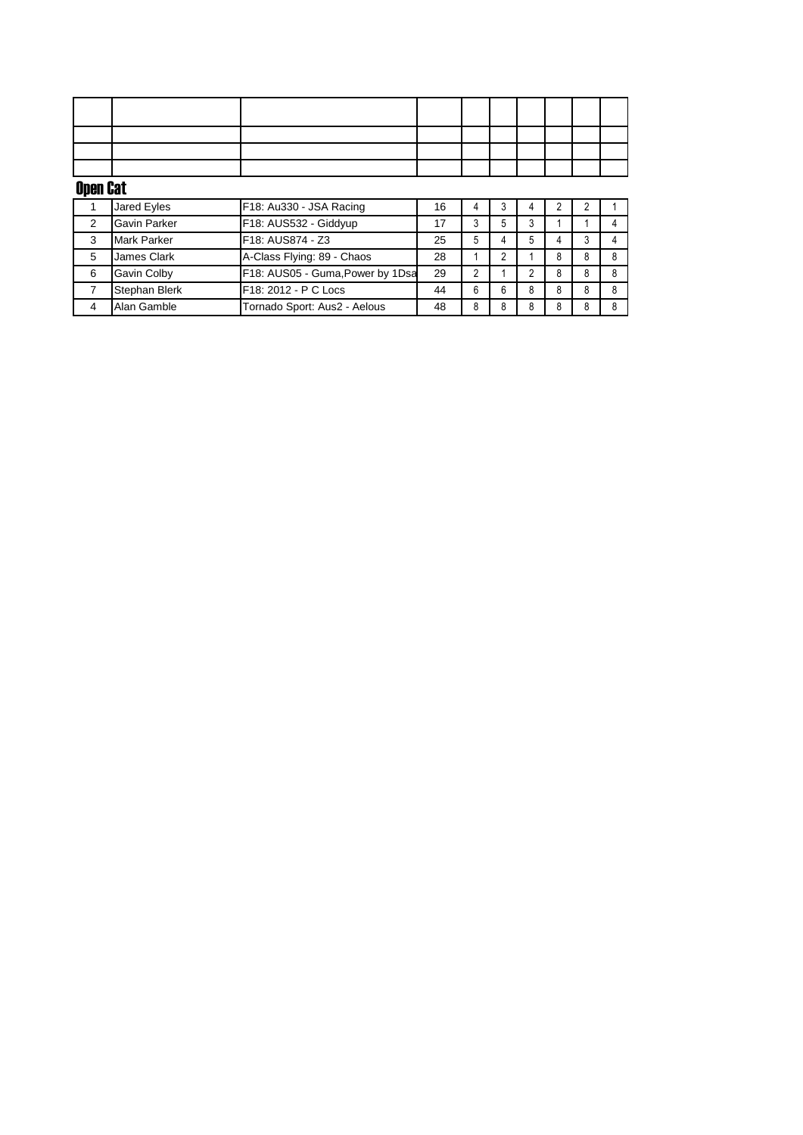| Open Cat |             |                         |    |  |  |  |  |  |  |  |
|----------|-------------|-------------------------|----|--|--|--|--|--|--|--|
|          | Jared Eyles | F18: Au330 - JSA Racing | 16 |  |  |  |  |  |  |  |

|   | Jared Eyles          | IF18: AU330 - JSA Racing         | 16 |   |   |   |  |  |
|---|----------------------|----------------------------------|----|---|---|---|--|--|
|   | <b>Gavin Parker</b>  | F18: AUS532 - Giddyup            | 17 |   | 5 |   |  |  |
|   | Mark Parker          | F18: AUS874 - Z3                 | 25 | b |   |   |  |  |
| 5 | James Clark          | A-Class Flying: 89 - Chaos       | 28 |   |   |   |  |  |
| 6 | Gavin Colby          | F18: AUS05 - Guma, Power by 1Dsa | 29 |   |   |   |  |  |
|   | <b>Stephan Blerk</b> | F18: 2012 - P C Locs             | 44 | 6 | 6 | 8 |  |  |
|   | Alan Gamble          | Tornado Sport: Aus2 - Aelous     | 48 |   |   |   |  |  |